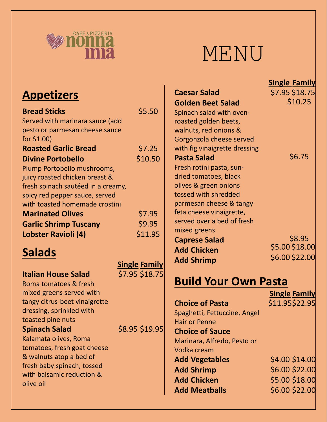

# MENU

| <b>Appetizers</b>                  |                      | <b>Caesar Sala</b><br><b>Golden Bee</b> |
|------------------------------------|----------------------|-----------------------------------------|
| <b>Bread Sticks</b>                | \$5.50               | Spinach salad                           |
| Served with marinara sauce (add    |                      | roasted golde                           |
| pesto or parmesan cheese sauce     |                      | walnuts, red o                          |
| for $$1.00$ )                      |                      | Gorgonzola ch                           |
| <b>Roasted Garlic Bread</b>        | \$7.25               | with fig vinaig                         |
| <b>Divine Portobello</b>           | \$10.50              | <b>Pasta Salad</b>                      |
| Plump Portobello mushrooms,        |                      | Fresh rotini pa                         |
| juicy roasted chicken breast &     |                      | dried tomato                            |
| fresh spinach sautéed in a creamy, |                      | olives & greer                          |
| spicy red pepper sauce, served     |                      | tossed with sh                          |
| with toasted homemade crostini     |                      | parmesan che                            |
| <b>Marinated Olives</b>            | \$7.95               | feta cheese vi                          |
| <b>Garlic Shrimp Tuscany</b>       | \$9.95               | served over a                           |
| Lobster Ravioli (4)                | \$11.95              | mixed greens                            |
|                                    |                      | <b>Caprese Sala</b>                     |
| <b>Salads</b>                      |                      | <b>Add Chicker</b>                      |
|                                    | <b>Single Family</b> | <b>Add Shrimp</b>                       |
| <b>Italian House Salad</b>         | \$7.95 \$18.75       |                                         |
| Roma tomatoes & fresh              |                      | <b>Build Yo</b>                         |
| mixed greens served with           |                      |                                         |
| tangy citrus-beet vinaigrette      |                      | <b>Choice of Pa</b>                     |
| dressing, sprinkled with           |                      | Spaghetti, Fet                          |
| toasted pine nuts                  |                      | <b>Hair or Penne</b>                    |
| <b>Spinach Salad</b>               | \$8.95 \$19.95       | <b>Choice of Sa</b>                     |
| Kalamata olives, Roma              |                      | Marinara, Alfr                          |
| tomatoes, fresh goat cheese        |                      | Vodka cream                             |
| & walnuts atop a bed of            |                      | <b>Add Vegetal</b>                      |
| fresh baby spinach, tossed         |                      | <b>Add Shrimp</b>                       |
| with balsamic reduction &          |                      |                                         |
| olive oil                          |                      | <b>Add Chicker</b>                      |
|                                    |                      | <b>Add Meatba</b>                       |

|                               | <b>Single Family</b> |
|-------------------------------|----------------------|
| <b>Caesar Salad</b>           | \$7.95 \$18.75       |
| <b>Golden Beet Salad</b>      | \$10.25              |
| Spinach salad with oven-      |                      |
| roasted golden beets,         |                      |
| walnuts, red onions &         |                      |
| Gorgonzola cheese served      |                      |
| with fig vinaigrette dressing |                      |
| <b>Pasta Salad</b>            | \$6.75               |
| Fresh rotini pasta, sun-      |                      |
| dried tomatoes, black         |                      |
| olives & green onions         |                      |
| tossed with shredded          |                      |
| parmesan cheese & tangy       |                      |
| feta cheese vinaigrette,      |                      |
| served over a bed of fresh    |                      |
| mixed greens                  |                      |
| <b>Caprese Salad</b>          | \$8.95               |
| <b>Add Chicken</b>            | \$5.00 \$18.00       |
| <b>Add Shrimp</b>             | \$6.00 \$22.00       |
|                               |                      |

# **Build Your Own Pasta**

|                              | <b>Single Family</b> |
|------------------------------|----------------------|
| <b>Choice of Pasta</b>       | \$11.95\$22.95       |
| Spaghetti, Fettuccine, Angel |                      |
| <b>Hair or Penne</b>         |                      |
| <b>Choice of Sauce</b>       |                      |
| Marinara, Alfredo, Pesto or  |                      |
| Vodka cream                  |                      |
| <b>Add Vegetables</b>        | \$4.00 \$14.00       |
| <b>Add Shrimp</b>            | \$6.00 \$22.00       |
| <b>Add Chicken</b>           | \$5.00 \$18.00       |
| <b>Add Meatballs</b>         | \$6.00 \$22.00       |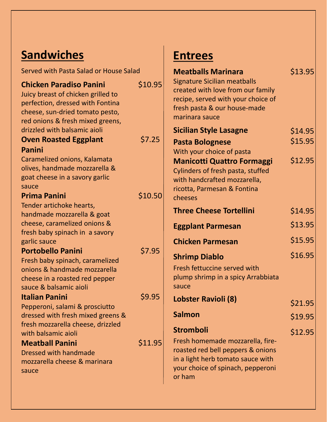# **Sandwiches**

| Served with Pasta Salad or House Salad                                                                                                                                                                          |         |
|-----------------------------------------------------------------------------------------------------------------------------------------------------------------------------------------------------------------|---------|
| <b>Chicken Paradiso Panini</b><br>Juicy breast of chicken grilled to<br>perfection, dressed with Fontina<br>cheese, sun-dried tomato pesto,<br>red onions & fresh mixed greens,<br>drizzled with balsamic aioli | \$10.95 |
| <b>Oven Roasted Eggplant</b>                                                                                                                                                                                    | \$7.25  |
| Panini                                                                                                                                                                                                          |         |
| Caramelized onions, Kalamata<br>olives, handmade mozzarella &<br>goat cheese in a savory garlic<br>sauce                                                                                                        |         |
| <b>Prima Panini</b>                                                                                                                                                                                             | \$10.50 |
| Tender artichoke hearts,<br>handmade mozzarella & goat<br>cheese, caramelized onions &<br>fresh baby spinach in a savory<br>garlic sauce                                                                        |         |
| <b>Portobello Panini</b>                                                                                                                                                                                        | \$7.95  |
| Fresh baby spinach, caramelized<br>onions & handmade mozzarella<br>cheese in a roasted red pepper<br>sauce & balsamic aioli                                                                                     |         |
| <b>Italian Panini</b>                                                                                                                                                                                           | \$9.95  |
| Pepperoni, salami & prosciutto<br>dressed with fresh mixed greens &<br>fresh mozzarella cheese, drizzled<br>with balsamic aioli                                                                                 |         |
| <b>Meatball Panini</b>                                                                                                                                                                                          | \$11.95 |
| Dressed with handmade<br>mozzarella cheese & marinara<br>sauce                                                                                                                                                  |         |

## **Entrees**

| <b>Meatballs Marinara</b><br><b>Signature Sicilian meatballs</b><br>created with love from our family<br>recipe, served with your choice of<br>fresh pasta & our house-made<br>marinara sauce | \$13.95 |
|-----------------------------------------------------------------------------------------------------------------------------------------------------------------------------------------------|---------|
| <b>Sicilian Style Lasagne</b>                                                                                                                                                                 | \$14.95 |
| <b>Pasta Bolognese</b>                                                                                                                                                                        | \$15.95 |
| With your choice of pasta                                                                                                                                                                     |         |
| <b>Manicotti Quattro Formaggi</b><br>Cylinders of fresh pasta, stuffed<br>with handcrafted mozzarella,<br>ricotta, Parmesan & Fontina<br>cheeses                                              | \$12.95 |
| <b>Three Cheese Tortellini</b>                                                                                                                                                                | \$14.95 |
| <b>Eggplant Parmesan</b>                                                                                                                                                                      | \$13.95 |
| <b>Chicken Parmesan</b>                                                                                                                                                                       | \$15.95 |
| <b>Shrimp Diablo</b>                                                                                                                                                                          | \$16.95 |
| Fresh fettuccine served with<br>plump shrimp in a spicy Arrabbiata<br>sauce                                                                                                                   |         |
| Lobster Ravioli (8)                                                                                                                                                                           | \$21.95 |
| <b>Salmon</b>                                                                                                                                                                                 | \$19.95 |
| <b>Stromboli</b>                                                                                                                                                                              | \$12.95 |
| Fresh homemade mozzarella, fire-<br>roasted red bell peppers & onions<br>in a light herb tomato sauce with<br>your choice of spinach, pepperoni<br>or ham                                     |         |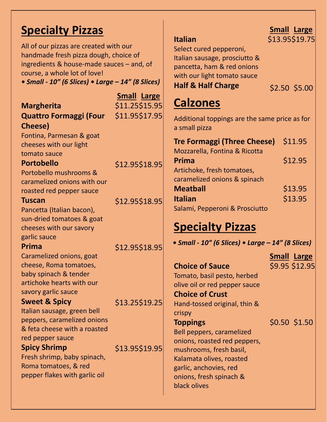### **Specialty Pizzas**

All of our pizzas are created with our handmade fresh pizza dough, choice of ingredients & house-made sauces – and, of course, a whole lot of love!

*• Small - 10" (6 Slices) • Large – 14" (8 Slices)*

|                               | <b>Small Large</b> |
|-------------------------------|--------------------|
| <b>Margherita</b>             | \$11.25\$15.95     |
| <b>Quattro Formaggi (Four</b> | \$11.95\$17.95     |
| <b>Cheese</b> )               |                    |
| Fontina, Parmesan & goat      |                    |
| cheeses with our light        |                    |
| tomato sauce                  |                    |
| <b>Portobello</b>             | \$12.95\$18.95     |
| Portobello mushrooms &        |                    |
| caramelized onions with our   |                    |
| roasted red pepper sauce      |                    |
| <b>Tuscan</b>                 | \$12.95\$18.95     |
| Pancetta (Italian bacon),     |                    |
| sun-dried tomatoes & goat     |                    |
| cheeses with our savory       |                    |
| garlic sauce                  |                    |
| Prima                         | \$12.95\$18.95     |
| Caramelized onions, goat      |                    |
| cheese, Roma tomatoes,        |                    |
| baby spinach & tender         |                    |
| artichoke hearts with our     |                    |
| savory garlic sauce           |                    |
| <b>Sweet &amp; Spicy</b>      | \$13.25\$19.25     |
| Italian sausage, green bell   |                    |
| peppers, caramelized onions   |                    |
| & feta cheese with a roasted  |                    |
| red pepper sauce              |                    |
| <b>Spicy Shrimp</b>           | \$13.95\$19.95     |
| Fresh shrimp, baby spinach,   |                    |
| Roma tomatoes, & red          |                    |
| pepper flakes with garlic oil |                    |
|                               |                    |
|                               |                    |

#### **Italian** Select cured pepperoni, Italian sausage, prosciutto & pancetta, ham & red onions with our light tomato sauce **Half & Half Charge** \$2.50 \$5.00 **Calzones Tre Formaggi (Three Cheese)**  Mozzarella, Fontina & Ricotta **Prima** Artichoke, fresh tomatoes, caramelized onions & spinach **Meatball Italian** Salami, Pepperoni & Prosciutto \$11.95 \$12.95 \$13.95 \$13.95 Additional toppings are the same price as for a small pizza **Specialty Pizzas**

*• Small - 10" (6 Slices) • Large – 14" (8 Slices)*

**Small Large** \$9.95 \$12.95

Tomato, basil pesto, herbed olive oil or red pepper sauce **Choice of Crust** Hand-tossed original, thin & crispy **Toppings** Bell peppers, caramelized onions, roasted red peppers, mushrooms, fresh basil, Kalamata olives, roasted garlic, anchovies, red onions, fresh spinach & black olives \$0.50 \$1.50

**Choice of Sauce**

#### **Small Large** \$13.95 \$19.75